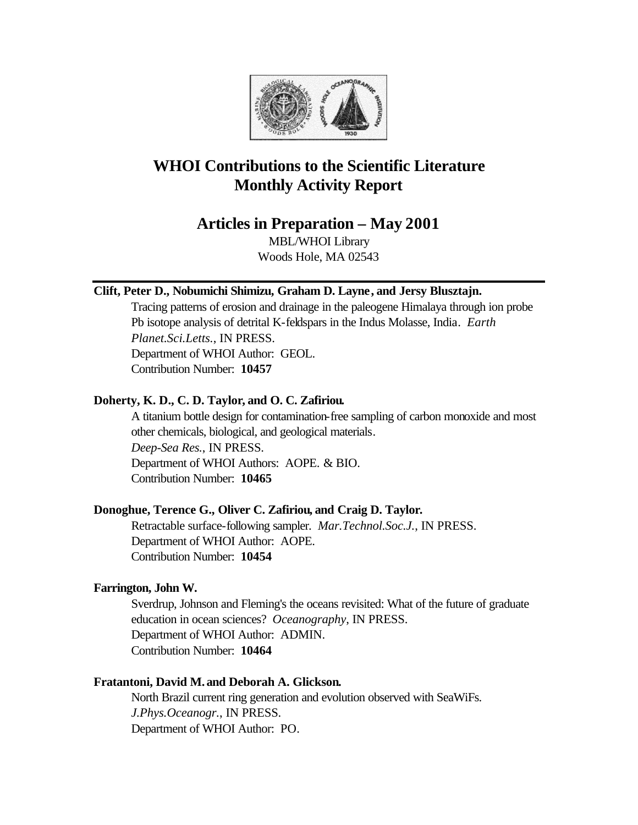

# **WHOI Contributions to the Scientific Literature Monthly Activity Report**

## **Articles in Preparation – May 2001**

MBL/WHOI Library Woods Hole, MA 02543

## **Clift, Peter D., Nobumichi Shimizu, Graham D. Layne, and Jersy Blusztajn.**

Tracing patterns of erosion and drainage in the paleogene Himalaya through ion probe Pb isotope analysis of detrital K-feldspars in the Indus Molasse, India. *Earth Planet.Sci.Letts.*, IN PRESS. Department of WHOI Author: GEOL. Contribution Number: **10457**

## **Doherty, K. D., C. D. Taylor, and O. C. Zafiriou.**

A titanium bottle design for contamination-free sampling of carbon monoxide and most other chemicals, biological, and geological materials. *Deep-Sea Res.*, IN PRESS. Department of WHOI Authors: AOPE. & BIO. Contribution Number: **10465**

## **Donoghue, Terence G., Oliver C. Zafiriou, and Craig D. Taylor.**

Retractable surface-following sampler. *Mar.Technol.Soc.J.*, IN PRESS. Department of WHOI Author: AOPE. Contribution Number: **10454**

## **Farrington, John W.**

Sverdrup, Johnson and Fleming's the oceans revisited: What of the future of graduate education in ocean sciences? *Oceanography*, IN PRESS. Department of WHOI Author: ADMIN. Contribution Number: **10464**

## **Fratantoni, David M. and Deborah A. Glickson.**

North Brazil current ring generation and evolution observed with SeaWiFs. *J.Phys.Oceanogr.*, IN PRESS. Department of WHOI Author: PO.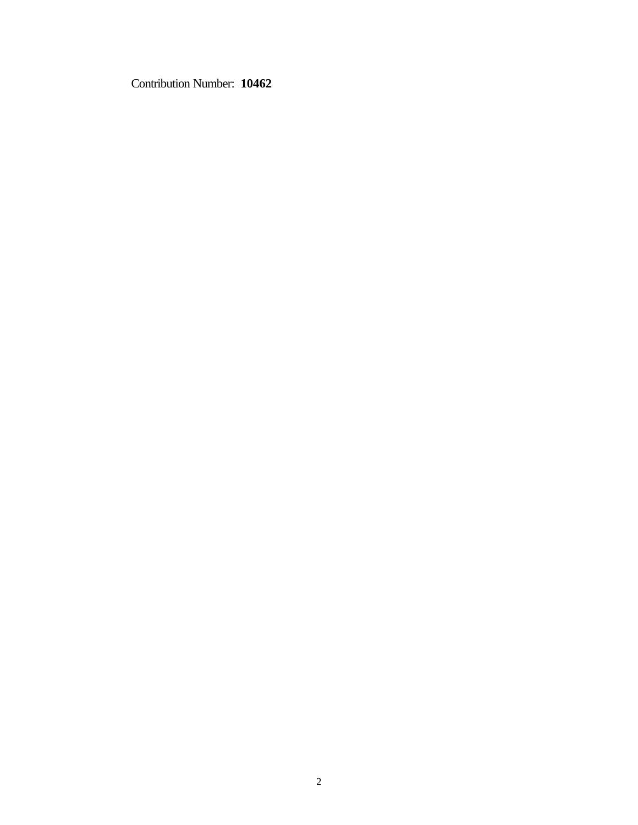Contribution Number: **10462**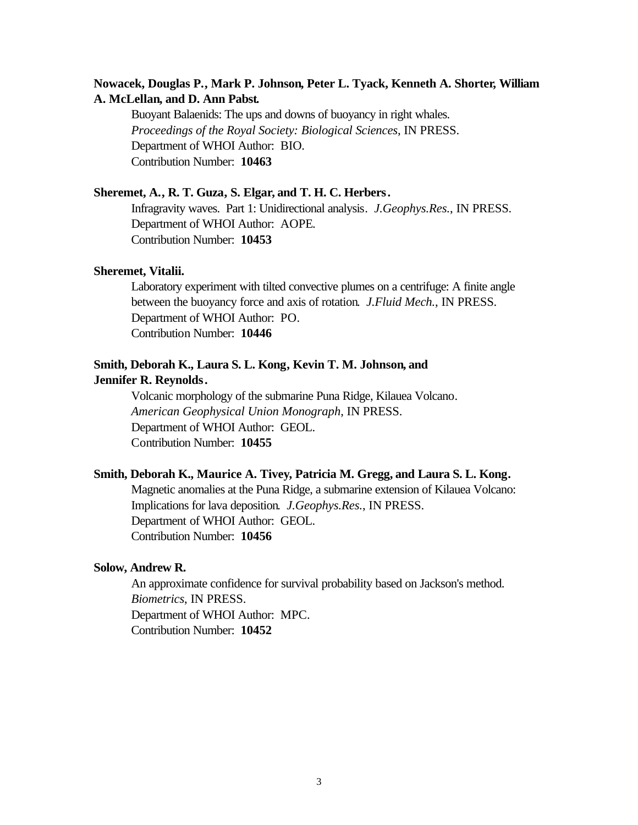## **Nowacek, Douglas P., Mark P. Johnson, Peter L. Tyack, Kenneth A. Shorter, William A. McLellan, and D. Ann Pabst.**

Buoyant Balaenids: The ups and downs of buoyancy in right whales. *Proceedings of the Royal Society: Biological Sciences*, IN PRESS. Department of WHOI Author: BIO. Contribution Number: **10463**

#### **Sheremet, A., R. T. Guza, S. Elgar, and T. H. C. Herbers.**

Infragravity waves. Part 1: Unidirectional analysis. *J.Geophys.Res.*, IN PRESS. Department of WHOI Author: AOPE. Contribution Number: **10453**

#### **Sheremet, Vitalii.**

Laboratory experiment with tilted convective plumes on a centrifuge: A finite angle between the buoyancy force and axis of rotation. *J.Fluid Mech.*, IN PRESS. Department of WHOI Author: PO. Contribution Number: **10446**

## **Smith, Deborah K., Laura S. L. Kong, Kevin T. M. Johnson, and**

### **Jennifer R. Reynolds.**

Volcanic morphology of the submarine Puna Ridge, Kilauea Volcano. *American Geophysical Union Monograph*, IN PRESS. Department of WHOI Author: GEOL. Contribution Number: **10455**

#### **Smith, Deborah K., Maurice A. Tivey, Patricia M. Gregg, and Laura S. L. Kong.**

Magnetic anomalies at the Puna Ridge, a submarine extension of Kilauea Volcano: Implications for lava deposition. *J.Geophys.Res.*, IN PRESS. Department of WHOI Author: GEOL. Contribution Number: **10456**

#### **Solow, Andrew R.**

An approximate confidence for survival probability based on Jackson's method. *Biometrics*, IN PRESS. Department of WHOI Author: MPC. Contribution Number: **10452**